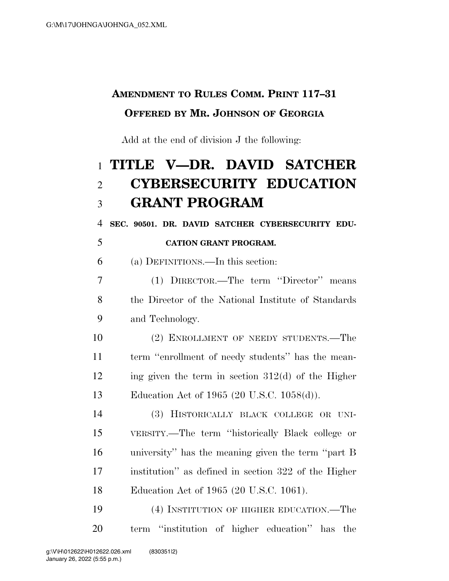## **AMENDMENT TO RULES COMM. PRINT 117–31 OFFERED BY MR. JOHNSON OF GEORGIA**

Add at the end of division J the following:

## **TITLE V—DR. DAVID SATCHER CYBERSECURITY EDUCATION GRANT PROGRAM**

**SEC. 90501. DR. DAVID SATCHER CYBERSECURITY EDU-**

**CATION GRANT PROGRAM.** 

(a) DEFINITIONS.—In this section:

 (1) DIRECTOR.—The term ''Director'' means the Director of the National Institute of Standards and Technology.

 (2) ENROLLMENT OF NEEDY STUDENTS.—The term ''enrollment of needy students'' has the mean- ing given the term in section 312(d) of the Higher Education Act of 1965 (20 U.S.C. 1058(d)).

 (3) HISTORICALLY BLACK COLLEGE OR UNI- VERSITY.—The term ''historically Black college or university'' has the meaning given the term ''part B institution'' as defined in section 322 of the Higher Education Act of 1965 (20 U.S.C. 1061).

 (4) INSTITUTION OF HIGHER EDUCATION.—The term ''institution of higher education'' has the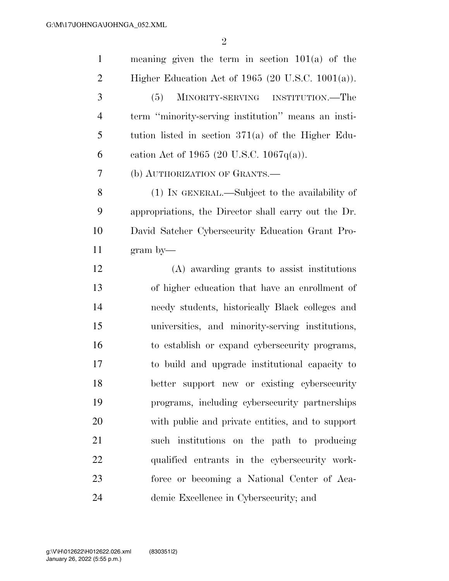| $\mathbf{1}$   | meaning given the term in section $101(a)$ of the    |
|----------------|------------------------------------------------------|
| $\overline{2}$ | Higher Education Act of 1965 (20 U.S.C. 1001(a)).    |
| 3              | (5)<br>MINORITY-SERVING INSTITUTION.—The             |
| $\overline{4}$ | term "minority-serving institution" means an insti-  |
| 5              | tution listed in section $371(a)$ of the Higher Edu- |
| 6              | cation Act of 1965 (20 U.S.C. 1067 $q(a)$ ).         |
| 7              | (b) AUTHORIZATION OF GRANTS.—                        |
| 8              | (1) IN GENERAL.—Subject to the availability of       |
| 9              | appropriations, the Director shall carry out the Dr. |
| 10             | David Satcher Cybersecurity Education Grant Pro-     |
| 11             | $gram by$ —                                          |
| 12             | (A) awarding grants to assist institutions           |
| 13             | of higher education that have an enrollment of       |
| 14             | needy students, historically Black colleges and      |
| 15             | universities, and minority-serving institutions,     |
| 16             | to establish or expand cybers ecurity programs,      |
| 17             | to build and upgrade institutional capacity to       |
| 18             | better support new or existing cybersecurity         |
| 19             | programs, including cybersecurity partnerships       |
| 20             | with public and private entities, and to support     |
| 21             | such institutions on the path to producing           |
| 22             | qualified entrants in the cybersecurity work-        |
| 23             | force or becoming a National Center of Aca-          |
| 24             | demic Excellence in Cybersecurity; and               |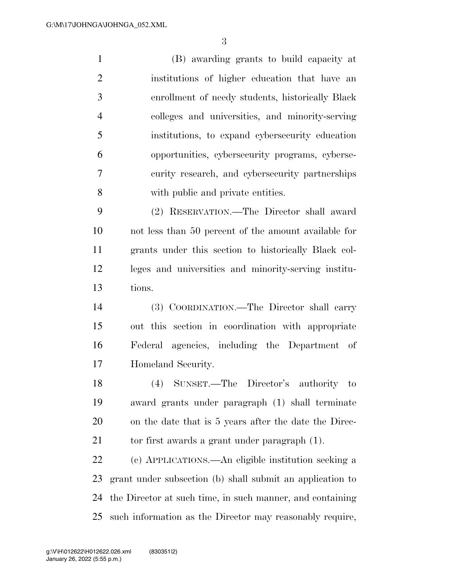(B) awarding grants to build capacity at institutions of higher education that have an enrollment of needy students, historically Black colleges and universities, and minority-serving institutions, to expand cybersecurity education opportunities, cybersecurity programs, cyberse- curity research, and cybersecurity partnerships with public and private entities. (2) RESERVATION.—The Director shall award

 not less than 50 percent of the amount available for grants under this section to historically Black col- leges and universities and minority-serving institu-tions.

 (3) COORDINATION.—The Director shall carry out this section in coordination with appropriate Federal agencies, including the Department of Homeland Security.

 (4) SUNSET.—The Director's authority to award grants under paragraph (1) shall terminate on the date that is 5 years after the date the Direc-21 to first awards a grant under paragraph (1).

 (c) APPLICATIONS.—An eligible institution seeking a grant under subsection (b) shall submit an application to the Director at such time, in such manner, and containing such information as the Director may reasonably require,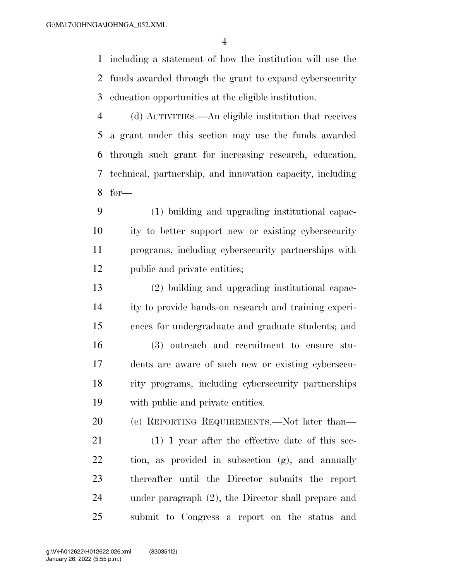including a statement of how the institution will use the funds awarded through the grant to expand cybersecurity education opportunities at the eligible institution.

 (d) ACTIVITIES.—An eligible institution that receives a grant under this section may use the funds awarded through such grant for increasing research, education, technical, partnership, and innovation capacity, including for—

 (1) building and upgrading institutional capac- ity to better support new or existing cybersecurity programs, including cybersecurity partnerships with public and private entities;

 (2) building and upgrading institutional capac- ity to provide hands-on research and training experi- ences for undergraduate and graduate students; and (3) outreach and recruitment to ensure stu- dents are aware of such new or existing cybersecu- rity programs, including cybersecurity partnerships with public and private entities.

(e) REPORTING REQUIREMENTS.—Not later than—

 (1) 1 year after the effective date of this sec- tion, as provided in subsection (g), and annually thereafter until the Director submits the report under paragraph (2), the Director shall prepare and submit to Congress a report on the status and